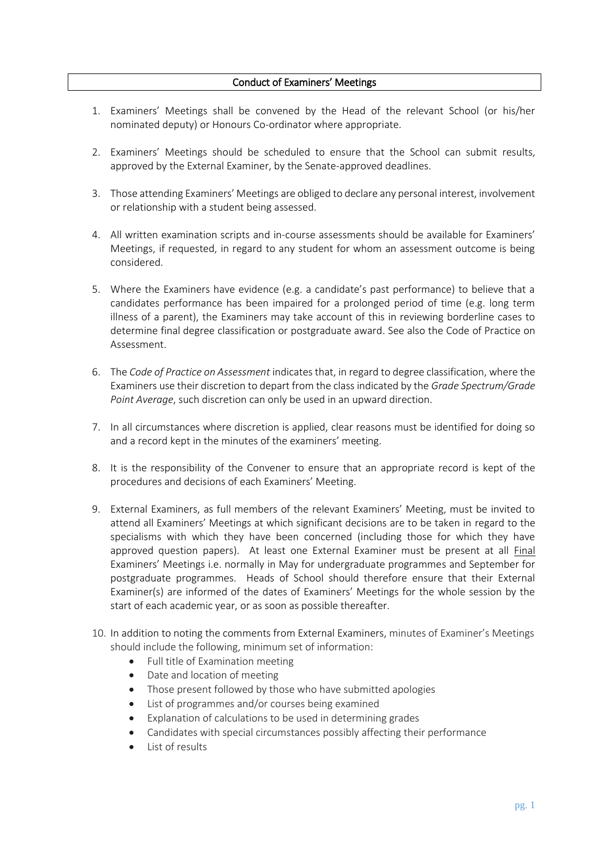## Conduct of Examiners' Meetings

- 1. Examiners' Meetings shall be convened by the Head of the relevant School (or his/her nominated deputy) or Honours Co-ordinator where appropriate.
- 2. Examiners' Meetings should be scheduled to ensure that the School can submit results, approved by the External Examiner, by the Senate-approved deadlines.
- 3. Those attending Examiners' Meetings are obliged to declare any personal interest, involvement or relationship with a student being assessed.
- 4. All written examination scripts and in-course assessments should be available for Examiners' Meetings, if requested, in regard to any student for whom an assessment outcome is being considered.
- 5. Where the Examiners have evidence (e.g. a candidate's past performance) to believe that a candidates performance has been impaired for a prolonged period of time (e.g. long term illness of a parent), the Examiners may take account of this in reviewing borderline cases to determine final degree classification or postgraduate award. See also the Code of Practice on Assessment.
- 6. The *Code of Practice on Assessment* indicates that, in regard to degree classification, where the Examiners use their discretion to depart from the class indicated by the *Grade Spectrum/Grade Point Average*, such discretion can only be used in an upward direction.
- 7. In all circumstances where discretion is applied, clear reasons must be identified for doing so and a record kept in the minutes of the examiners' meeting.
- 8. It is the responsibility of the Convener to ensure that an appropriate record is kept of the procedures and decisions of each Examiners' Meeting.
- 9. External Examiners, as full members of the relevant Examiners' Meeting, must be invited to attend all Examiners' Meetings at which significant decisions are to be taken in regard to the specialisms with which they have been concerned (including those for which they have approved question papers). At least one External Examiner must be present at all Final Examiners' Meetings i.e. normally in May for undergraduate programmes and September for postgraduate programmes. Heads of School should therefore ensure that their External Examiner(s) are informed of the dates of Examiners' Meetings for the whole session by the start of each academic year, or as soon as possible thereafter.
- 10. In addition to noting the comments from External Examiners, minutes of Examiner's Meetings should include the following, minimum set of information:
	- Full title of Examination meeting
	- Date and location of meeting
	- Those present followed by those who have submitted apologies
	- List of programmes and/or courses being examined
	- Explanation of calculations to be used in determining grades
	- Candidates with special circumstances possibly affecting their performance
	- List of results